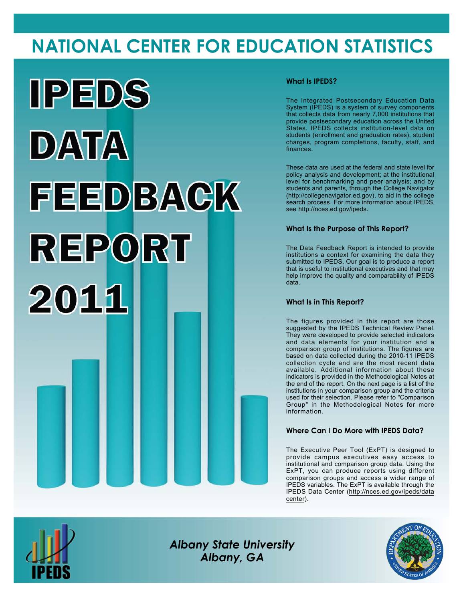# **NATIONAL CENTER FOR EDUCATION STATISTICS**



### **What Is IPEDS?**

The Integrated Postsecondary Education Data System (IPEDS) is a system of survey components that collects data from nearly 7,000 institutions that provide postsecondary education across the United States. IPEDS collects institution-level data on students (enrollment and graduation rates), student charges, program completions, faculty, staff, and finances.

These data are used at the federal and state level for policy analysis and development; at the institutional level for benchmarking and peer analysis; and by students and parents, through the College Navigator (<http://collegenavigator.ed.gov>), to aid in the college search process. For more information about IPEDS, see [http://nces.ed.gov/ipeds.](http://nces.ed.gov/ipeds)

## **What Is the Purpose of This Report?**

The Data Feedback Report is intended to provide institutions a context for examining the data they submitted to IPEDS. Our goal is to produce a report that is useful to institutional executives and that may help improve the quality and comparability of IPEDS data.

### **What Is in This Report?**

The figures provided in this report are those suggested by the IPEDS Technical Review Panel. They were developed to provide selected indicators and data elements for your institution and a comparison group of institutions. The figures are based on data collected during the 2010-11 IPEDS collection cycle and are the most recent data available. Additional information about these indicators is provided in the Methodological Notes at the end of the report. On the next page is a list of the institutions in your comparison group and the criteria used for their selection. Please refer to "Comparison Group" in the Methodological Notes for more information.

### **Where Can I Do More with IPEDS Data?**

The Executive Peer Tool (ExPT) is designed to provide campus executives easy access to institutional and comparison group data. Using the ExPT, you can produce reports using different comparison groups and access a wider range of IPEDS variables. The ExPT is available through the IPEDS Data Center ([http://nces.ed.gov/ipeds/data](http://nces.ed.gov/ipeds/datacenter) [center](http://nces.ed.gov/ipeds/datacenter)).



Image description. Cover Image End of image description.

*Albany State University Albany, GA*

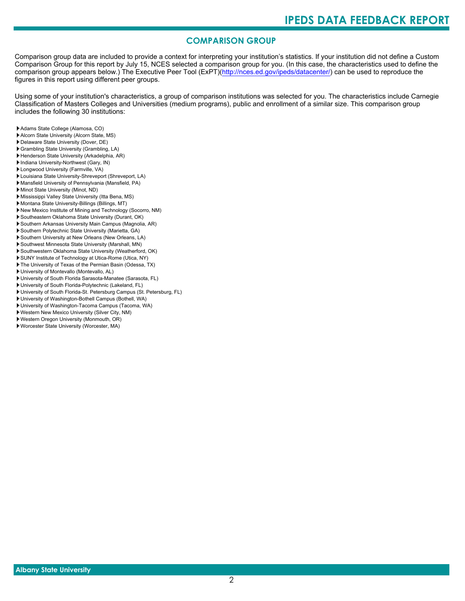# **COMPARISON GROUP**

Comparison group data are included to provide a context for interpreting your institution's statistics. If your institution did not define a Custom Comparison Group for this report by July 15, NCES selected a comparison group for you. (In this case, the characteristics used to define the comparison group appears below.) The Executive Peer Tool (ExPT)[\(http://nces.ed.gov/ipeds/datacenter/\)](http://nces.ed.gov/ipeds/datacenter/) can be used to reproduce the figures in this report using different peer groups.

Using some of your institution's characteristics, a group of comparison institutions was selected for you. The characteristics include Carnegie Classification of Masters Colleges and Universities (medium programs), public and enrollment of a similar size. This comparison group includes the following 30 institutions:

- Adams State College (Alamosa, CO)
- Alcorn State University (Alcorn State, MS)
- Delaware State University (Dover, DE)
- Grambling State University (Grambling, LA)
- Henderson State University (Arkadelphia, AR)
- Indiana University-Northwest (Gary, IN)
- Longwood University (Farmville, VA)
- Louisiana State University-Shreveport (Shreveport, LA)
- Mansfield University of Pennsylvania (Mansfield, PA)
- Minot State University (Minot, ND)
- Mississippi Valley State University (Itta Bena, MS) Montana State University-Billings (Billings, MT)
- New Mexico Institute of Mining and Technology (Socorro, NM)
- Southeastern Oklahoma State University (Durant, OK)
- Southern Arkansas University Main Campus (Magnolia, AR)
- Southern Polytechnic State University (Marietta, GA)
- Southern University at New Orleans (New Orleans, LA)
- Southwest Minnesota State University (Marshall, MN)
- Southwestern Oklahoma State University (Weatherford, OK)
- SUNY Institute of Technology at Utica-Rome (Utica, NY)
- The University of Texas of the Permian Basin (Odessa, TX)
- University of Montevallo (Montevallo, AL)
- University of South Florida Sarasota-Manatee (Sarasota, FL)
- University of South Florida-Polytechnic (Lakeland, FL)
- University of South Florida-St. Petersburg Campus (St. Petersburg, FL)
- University of Washington-Bothell Campus (Bothell, WA)
- University of Washington-Tacoma Campus (Tacoma, WA)
- Western New Mexico University (Silver City, NM)
- Western Oregon University (Monmouth, OR)
- Worcester State University (Worcester, MA)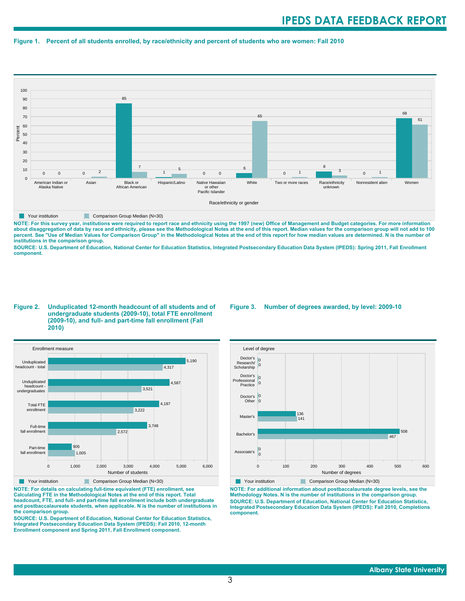#### **Figure 1. Percent of all students enrolled, by race/ethnicity and percent of students who are women: Fall 2010**



**NOTE: For this survey year, institutions were required to report race and ethnicity using the 1997 (new) Office of Management and Budget categories. For more information** about disaggregation of data by race and ethnicity, please see the Methodological Notes at the end of this report. Median values for the comparison group will not add to 100<br>percent. See "Use of Median Values for Compariso **institutions in the comparison group.**

**SOURCE: U.S. Department of Education, National Center for Education Statistics, Integrated Postsecondary Education Data System (IPEDS): Spring 2011, Fall Enrollment component.**

#### **Figure 2. Unduplicated 12-month headcount of all students and of undergraduate students (2009-10), total FTE enrollment (2009-10), and full- and part-time fall enrollment (Fall 2010)**



**NOTE: For details on calculating full-time equivalent (FTE) enrollment, see Calculating FTE in the Methodological Notes at the end of this report. Total headcount, FTE, and full- and part-time fall enrollment include both undergraduate and postbaccalaureate students, when applicable. N is the number of institutions in the comparison group.**

**SOURCE: U.S. Department of Education, National Center for Education Statistics, Integrated Postsecondary Education Data System (IPEDS): Fall 2010, 12-month Enrollment component and Spring 2011, Fall Enrollment component.**

#### **Figure 3. Number of degrees awarded, by level: 2009-10**



**NOTE: For additional information about postbaccalaureate degree levels, see the Methodology Notes. N is the number of institutions in the comparison group. SOURCE: U.S. Department of Education, National Center for Education Statistics, Integrated Postsecondary Education Data System (IPEDS): Fall 2010, Completions component.**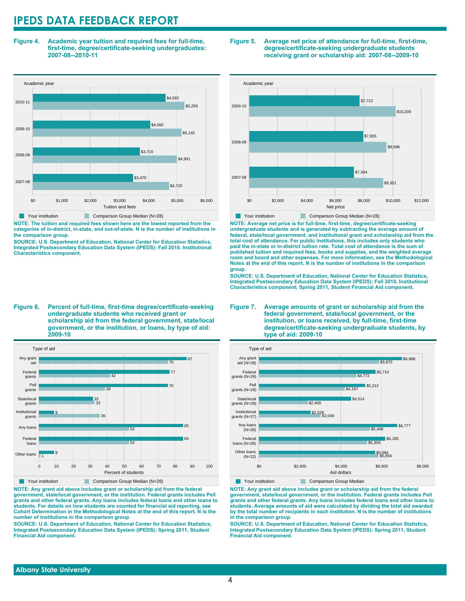**Figure 4. Academic year tuition and required fees for full-time, first-time, degree/certificate-seeking undergraduates: 2007-08--2010-11**



**NOTE: The tuition and required fees shown here are the lowest reported from the categories of in-district, in-state, and out-of-state. N is the number of institutions in the comparison group.**

**SOURCE: U.S. Department of Education, National Center for Education Statistics, Integrated Postsecondary Education Data System (IPEDS): Fall 2010, Institutional Characteristics component.**

**Figure 6. Percent of full-time, first-time degree/certificate-seeking undergraduate students who received grant or scholarship aid from the federal government, state/local government, or the institution, or loans, by type of aid: 2009-10**



**NOTE: Any grant aid above includes grant or scholarship aid from the federal government, state/local government, or the institution. Federal grants includes Pell grants and other federal grants. Any loans includes federal loans and other loans to students. For details on how students are counted for financial aid reporting, see Cohort Determination in the Methodological Notes at the end of this report. N is the number of institutions in the comparison group.**

**SOURCE: U.S. Department of Education, National Center for Education Statistics, Integrated Postsecondary Education Data System (IPEDS): Spring 2011, Student Financial Aid component.**

#### **Figure 5. Average net price of attendance for full-time, first-time, degree/certificate-seeking undergraduate students receiving grant or scholarship aid: 2007-08--2009-10**



**NOTE: Average net price is for full-time, first-time, degree/certificate-seeking undergraduate students and is generated by subtracting the average amount of federal, state/local government, and institutional grant and scholarship aid from the total cost of attendance. For public institutions, this includes only students who paid the in-state or in-district tuition rate. Total cost of attendance is the sum of published tuition and required fees, books and supplies, and the weighted average room and board and other expenses. For more information, see the Methodological Notes at the end of this report. N is the number of institutions in the comparison group.**

**SOURCE: U.S. Department of Education, National Center for Education Statistics, Integrated Postsecondary Education Data System (IPEDS): Fall 2010, Institutional Characteristics component; Spring 2011, Student Financial Aid component.**

#### **Figure 7. Average amounts of grant or scholarship aid from the federal government, state/local government, or the institution, or loans received, by full-time, first-time degree/certificate-seeking undergraduate students, by type of aid: 2009-10**



**Your institution Comparison Group Median** 

**NOTE: Any grant aid above includes grant or scholarship aid from the federal government, state/local government, or the institution. Federal grants includes Pell grants and other federal grants. Any loans includes federal loans and other loans to students. Average amounts of aid were calculated by dividing the total aid awarded by the total number of recipients in each institution. N is the number of institutions in the comparison group.**

**SOURCE: U.S. Department of Education, National Center for Education Statistics, Integrated Postsecondary Education Data System (IPEDS): Spring 2011, Student Financial Aid component.**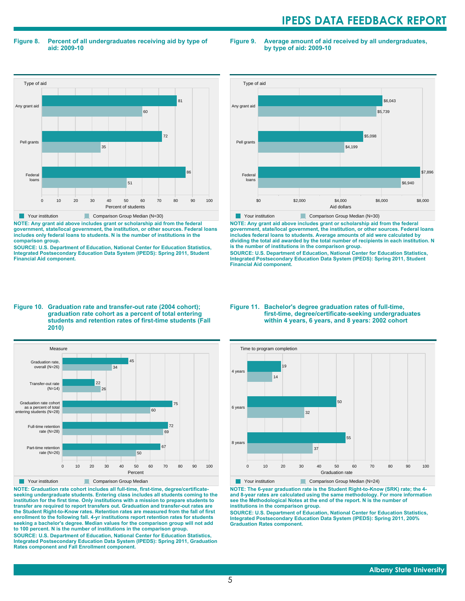**Figure 8. Percent of all undergraduates receiving aid by type of aid: 2009-10**

**Figure 9. Average amount of aid received by all undergraduates, by type of aid: 2009-10**



**NOTE: Any grant aid above includes grant or scholarship aid from the federal government, state/local government, the institution, or other sources. Federal loans includes only federal loans to students. N is the number of institutions in the comparison group.**

**SOURCE: U.S. Department of Education, National Center for Education Statistics, Integrated Postsecondary Education Data System (IPEDS): Spring 2011, Student Financial Aid component.**



**NOTE: Any grant aid above includes grant or scholarship aid from the federal government, state/local government, the institution, or other sources. Federal loans includes federal loans to students. Average amounts of aid were calculated by dividing the total aid awarded by the total number of recipients in each institution. N is the number of institutions in the comparison group.**

**SOURCE: U.S. Department of Education, National Center for Education Statistics, Integrated Postsecondary Education Data System (IPEDS): Spring 2011, Student Financial Aid component.**

#### **Figure 10. Graduation rate and transfer-out rate (2004 cohort); graduation rate cohort as a percent of total entering students and retention rates of first-time students (Fall 2010)**



**NOTE: Graduation rate cohort includes all full-time, first-time, degree/certificateseeking undergraduate students. Entering class includes all students coming to the institution for the first time. Only institutions with a mission to prepare students to transfer are required to report transfers out. Graduation and transfer-out rates are the Student Right-to-Know rates. Retention rates are measured from the fall of first enrollment to the following fall. 4-yr institutions report retention rates for students seeking a bachelor's degree. Median values for the comparison group will not add to 100 percent. N is the number of institutions in the comparison group.**

**SOURCE: U.S. Department of Education, National Center for Education Statistics, Integrated Postsecondary Education Data System (IPEDS): Spring 2011, Graduation Rates component and Fall Enrollment component.**

#### **Figure 11. Bachelor's degree graduation rates of full-time, first-time, degree/certificate-seeking undergraduates within 4 years, 6 years, and 8 years: 2002 cohort**



Your institution Comparison Group Median (N=24)

**NOTE: The 6-year graduation rate is the Student Right-to-Know (SRK) rate; the 4 and 8-year rates are calculated using the same methodology. For more information see the Methodological Notes at the end of the report. N is the number of institutions in the comparison group.**

**SOURCE: U.S. Department of Education, National Center for Education Statistics, Integrated Postsecondary Education Data System (IPEDS): Spring 2011, 200% Graduation Rates component.**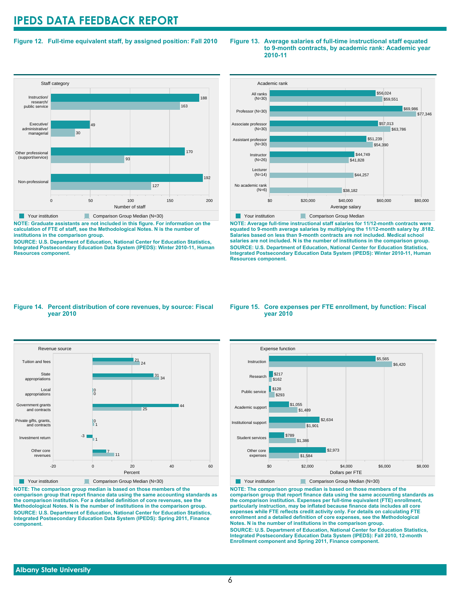### **Figure 12. Full-time equivalent staff, by assigned position: Fall 2010**



**NOTE: Graduate assistants are not included in this figure. For information on the calculation of FTE of staff, see the Methodological Notes. N is the number of institutions in the comparison group.**

**SOURCE: U.S. Department of Education, National Center for Education Statistics, Integrated Postsecondary Education Data System (IPEDS): Winter 2010-11, Human Resources component.**

#### **Figure 13. Average salaries of full-time instructional staff equated to 9-month contracts, by academic rank: Academic year 2010-11**



**NOTE: Average full-time instructional staff salaries for 11/12-month contracts were equated to 9-month average salaries by multiplying the 11/12-month salary by .8182. Salaries based on less than 9-month contracts are not included. Medical school salaries are not included. N is the number of institutions in the comparison group. SOURCE: U.S. Department of Education, National Center for Education Statistics, Integrated Postsecondary Education Data System (IPEDS): Winter 2010-11, Human Resources component.**

#### **Figure 14. Percent distribution of core revenues, by source: Fiscal year 2010**



**NOTE: The comparison group median is based on those members of the comparison group that report finance data using the same accounting standards as the comparison institution. For a detailed definition of core revenues, see the Methodological Notes. N is the number of institutions in the comparison group. SOURCE: U.S. Department of Education, National Center for Education Statistics, Integrated Postsecondary Education Data System (IPEDS): Spring 2011, Finance component.**

#### **Figure 15. Core expenses per FTE enrollment, by function: Fiscal year 2010**



**Your institution** Comparison Group Median (N=30)

**NOTE: The comparison group median is based on those members of the comparison group that report finance data using the same accounting standards as the comparison institution. Expenses per full-time equivalent (FTE) enrollment, particularly instruction, may be inflated because finance data includes all core expenses while FTE reflects credit activity only. For details on calculating FTE enrollment and a detailed definition of core expenses, see the Methodological Notes. N is the number of institutions in the comparison group. SOURCE: U.S. Department of Education, National Center for Education Statistics, Integrated Postsecondary Education Data System (IPEDS): Fall 2010, 12-month Enrollment component and Spring 2011, Finance component.**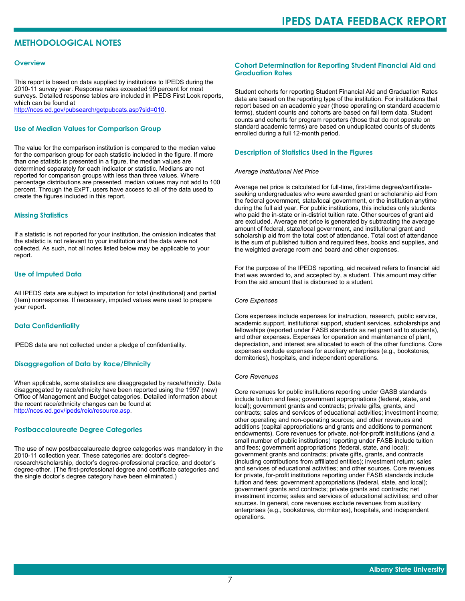# **METHODOLOGICAL NOTES**

#### **Overview**

This report is based on data supplied by institutions to IPEDS during the 2010-11 survey year. Response rates exceeded 99 percent for most surveys. Detailed response tables are included in IPEDS First Look reports, which can be found at [http://nces.ed.gov/pubsearch/getpubcats.asp?sid=010.](http://nces.ed.gov/pubsearch/getpubcats.asp?sid=010)

#### **Use of Median Values for Comparison Group**

The value for the comparison institution is compared to the median value for the comparison group for each statistic included in the figure. If more than one statistic is presented in a figure, the median values are determined separately for each indicator or statistic. Medians are not reported for comparison groups with less than three values. Where percentage distributions are presented, median values may not add to 100 percent. Through the ExPT, users have access to all of the data used to create the figures included in this report.

#### **Missing Statistics**

If a statistic is not reported for your institution, the omission indicates that the statistic is not relevant to your institution and the data were not collected. As such, not all notes listed below may be applicable to your report.

#### **Use of Imputed Data**

All IPEDS data are subject to imputation for total (institutional) and partial (item) nonresponse. If necessary, imputed values were used to prepare your report.

#### **Data Confidentiality**

IPEDS data are not collected under a pledge of confidentiality.

#### **Disaggregation of Data by Race/Ethnicity**

When applicable, some statistics are disaggregated by race/ethnicity. Data disaggregated by race/ethnicity have been reported using the 1997 (new) Office of Management and Budget categories. Detailed information about the recent race/ethnicity changes can be found at <http://nces.ed.gov/ipeds/reic/resource.asp>.

#### **Postbaccalaureate Degree Categories**

The use of new postbaccalaureate degree categories was mandatory in the 2010-11 collection year. These categories are: doctor's degreeresearch/scholarship, doctor's degree-professional practice, and doctor's degree-other. (The first-professional degree and certificate categories and the single doctor's degree category have been eliminated.)

#### **Cohort Determination for Reporting Student Financial Aid and Graduation Rates**

Student cohorts for reporting Student Financial Aid and Graduation Rates data are based on the reporting type of the institution. For institutions that report based on an academic year (those operating on standard academic terms), student counts and cohorts are based on fall term data. Student counts and cohorts for program reporters (those that do not operate on standard academic terms) are based on unduplicated counts of students enrolled during a full 12-month period.

#### **Description of Statistics Used in the Figures**

#### *Average Institutional Net Price*

Average net price is calculated for full-time, first-time degree/certificateseeking undergraduates who were awarded grant or scholarship aid from the federal government, state/local government, or the institution anytime during the full aid year. For public institutions, this includes only students who paid the in-state or in-district tuition rate. Other sources of grant aid are excluded. Average net price is generated by subtracting the average amount of federal, state/local government, and institutional grant and scholarship aid from the total cost of attendance. Total cost of attendance is the sum of published tuition and required fees, books and supplies, and the weighted average room and board and other expenses.

For the purpose of the IPEDS reporting, aid received refers to financial aid that was awarded to, and accepted by, a student. This amount may differ from the aid amount that is disbursed to a student.

#### *Core Expenses*

Core expenses include expenses for instruction, research, public service, academic support, institutional support, student services, scholarships and fellowships (reported under FASB standards as net grant aid to students), and other expenses. Expenses for operation and maintenance of plant, depreciation, and interest are allocated to each of the other functions. Core expenses exclude expenses for auxiliary enterprises (e.g., bookstores, dormitories), hospitals, and independent operations.

#### *Core Revenues*

Core revenues for public institutions reporting under GASB standards include tuition and fees; government appropriations (federal, state, and local); government grants and contracts; private gifts, grants, and contracts; sales and services of educational activities; investment income; other operating and non-operating sources; and other revenues and additions (capital appropriations and grants and additions to permanent endowments). Core revenues for private, not-for-profit institutions (and a small number of public institutions) reporting under FASB include tuition and fees; government appropriations (federal, state, and local); government grants and contracts; private gifts, grants, and contracts (including contributions from affiliated entities); investment return; sales and services of educational activities; and other sources. Core revenues for private, for-profit institutions reporting under FASB standards include tuition and fees; government appropriations (federal, state, and local); government grants and contracts; private grants and contracts; net investment income; sales and services of educational activities; and other sources. In general, core revenues exclude revenues from auxiliary enterprises (e.g., bookstores, dormitories), hospitals, and independent operations.